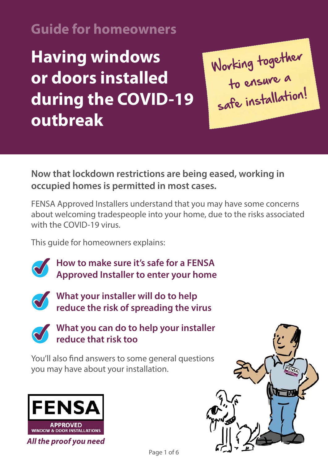#### **Guide for homeowners**

**Having windows or doors installed during the COVID-19 outbreak**

Working together to ensure a safe installation!

**Now that lockdown restrictions are being eased, working in occupied homes is permitted in most cases.** 

FENSA Approved Installers understand that you may have some concerns about welcoming tradespeople into your home, due to the risks associated with the COVID-19 virus.

This guide for homeowners explains:



**How to make sure it's safe for a FENSA Approved Installer to enter your home** 



**What your installer will do to help reduce the risk of spreading the virus** 



**What you can do to help your installer reduce that risk too** 

You'll also find answers to some general questions you may have about your installation.



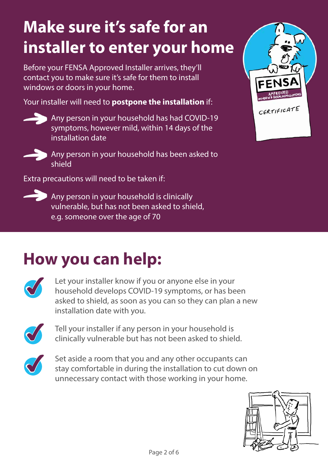## **Make sure it's safe for an installer to enter your home**

Before your FENSA Approved Installer arrives, they'll contact you to make sure it's safe for them to install windows or doors in your home.

Your installer will need to **postpone the installation** if:

Any person in your household has had COVID-19 symptoms, however mild, within 14 days of the installation date



Any person in your household has been asked to shield

Extra precautions will need to be taken if:



Any person in your household is clinically vulnerable, but has not been asked to shield, e.g. someone over the age of 70



### **How you can help:**



Let your installer know if you or anyone else in your<br>household develops COVID-19 symptoms, or has be<br>asked to shield as soon as you can so they can plan household develops COVID-19 symptoms, or has been asked to shield, as soon as you can so they can plan a new installation date with you.



Tell your installer if any person in your household is clinically vulnerable but has not been asked to shiel clinically vulnerable but has not been asked to shield.



Set aside a room that you and any other occupants can<br>stay comfortable in during the installation to cut down stay comfortable in during the installation to cut down on unnecessary contact with those working in your home.

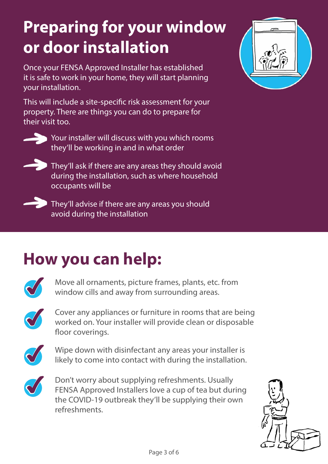## **Preparing for your window or door installation**

Once your FENSA Approved Installer has established it is safe to work in your home, they will start planning your installation.

This will include a site-specific risk assessment for your property. There are things you can do to prepare for their visit too.



Your installer will discuss with you which rooms they'll be working in and in what order



 $\sum$  They'll ask if there are any areas they should avoid during the installation, such as where household occupants will be



**They'll advise if there are any areas you should** avoid during the installation

### **How you can help:**



Move all ornaments, picture frames, plants, etc. from window cills and away from surrounding areas.



Cover any appliances or furniture in rooms that are being worked on. Your installer will provide clean or disposable floor coverings.



Wipe down with disinfectant any areas your installer is likely to come into contact with during the installation. likely to come into contact with during the installation.



Don't worry about supplying refreshments. Usually<br>FENSA Approved Installers love a cup of tea but dure<br>the COVID-19 outbreak they'll be supplying their of FENSA Approved Installers love a cup of tea but during the COVID-19 outbreak they'll be supplying their own refreshments.



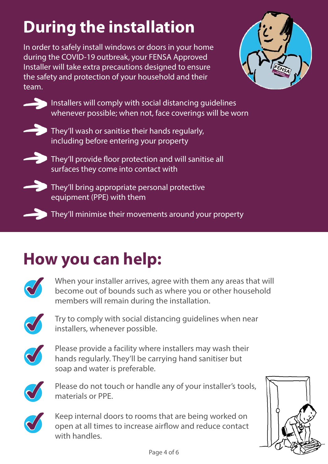# **During the installation**

In order to safely install windows or doors in your home during the COVID-19 outbreak, your FENSA Approved Installer will take extra precautions designed to ensure the safety and protection of your household and their team.



Installers will comply with social distancing guidelines whenever possible; when not, face coverings will be worn



They'll wash or sanitise their hands regularly, including before entering your property



They'll provide floor protection and will sanitise all surfaces they come into contact with



They'll bring appropriate personal protective equipment (PPE) with them

 $\Box$  They'll minimise their movements around your property

## **How you can help:**



When your installer arrives, agree with them any areas that will<br>become out of bounds such as where you or other household<br>mombors will romain during the installation become out of bounds such as where you or other household members will remain during the installation.



✔ Try to comply with social distancing guidelines when near installers, whenever possible.



Please provide a facility where installers may wash their hands regularly. They'll be carrying hand sanitiser but soap and water is preferable.



Please do not touch or handle any of your installer's tools, materials or PPE.



Keep internal doors to rooms that are being worked on open at all times to increase airflow and reduce contact open at all times to increase airflow and reduce contact with handles.

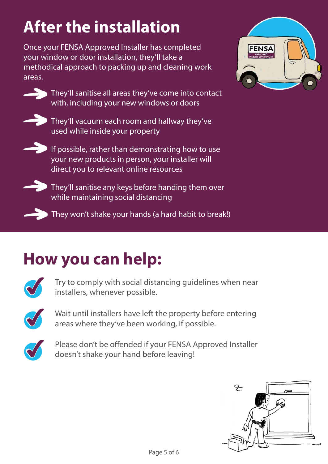## **After the installation**

Once your FENSA Approved Installer has completed your window or door installation, they'll take a methodical approach to packing up and cleaning work areas.



**They'll sanitise all areas they've come into contact** with, including your new windows or doors



They'll vacuum each room and hallway they've used while inside your property



If possible, rather than demonstrating how to use your new products in person, your installer will direct you to relevant online resources



 $\blacktriangleright$  They'll sanitise any keys before handing them over while maintaining social distancing

**They won't shake your hands (a hard habit to break!)** 



### **How you can help:**



Try to comply with social distancing guidelines when near installers, whenever possible.



Wait until installers have left the property before entering areas where they've been working, if possible.



Please don't be offended if your FENSA Approved Installer doesn't shake your hand before leaving!